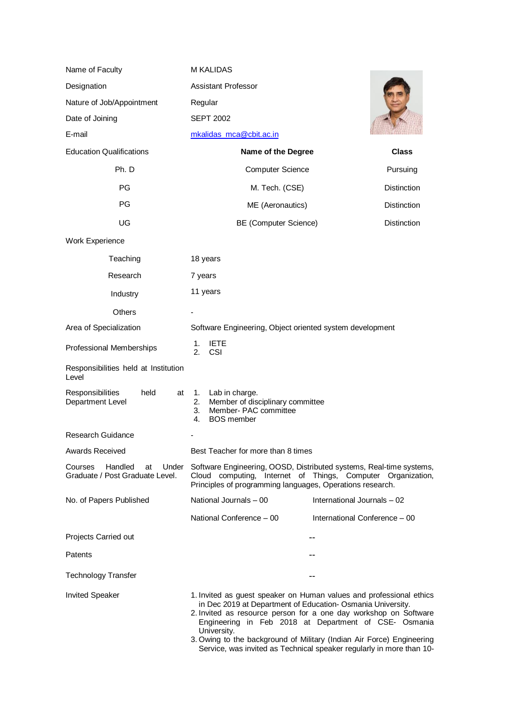| Name of Faculty                                                      | <b>M KALIDAS</b>                                                                                                                                                                                                                                                                                                                                                                                                                |                    |
|----------------------------------------------------------------------|---------------------------------------------------------------------------------------------------------------------------------------------------------------------------------------------------------------------------------------------------------------------------------------------------------------------------------------------------------------------------------------------------------------------------------|--------------------|
| Designation                                                          | <b>Assistant Professor</b>                                                                                                                                                                                                                                                                                                                                                                                                      |                    |
| Nature of Job/Appointment                                            | Regular                                                                                                                                                                                                                                                                                                                                                                                                                         |                    |
| Date of Joining                                                      | <b>SEPT 2002</b>                                                                                                                                                                                                                                                                                                                                                                                                                |                    |
| E-mail                                                               | mkalidas mca@cbit.ac.in                                                                                                                                                                                                                                                                                                                                                                                                         |                    |
| <b>Education Qualifications</b>                                      | Name of the Degree                                                                                                                                                                                                                                                                                                                                                                                                              | <b>Class</b>       |
| Ph. D                                                                | <b>Computer Science</b>                                                                                                                                                                                                                                                                                                                                                                                                         | Pursuing           |
| PG                                                                   | M. Tech. (CSE)                                                                                                                                                                                                                                                                                                                                                                                                                  | <b>Distinction</b> |
| <b>PG</b>                                                            | ME (Aeronautics)                                                                                                                                                                                                                                                                                                                                                                                                                | <b>Distinction</b> |
| UG                                                                   | <b>BE (Computer Science)</b>                                                                                                                                                                                                                                                                                                                                                                                                    | <b>Distinction</b> |
| Work Experience                                                      |                                                                                                                                                                                                                                                                                                                                                                                                                                 |                    |
| Teaching                                                             | 18 years                                                                                                                                                                                                                                                                                                                                                                                                                        |                    |
| Research                                                             | 7 years                                                                                                                                                                                                                                                                                                                                                                                                                         |                    |
| Industry                                                             | 11 years                                                                                                                                                                                                                                                                                                                                                                                                                        |                    |
| <b>Others</b>                                                        |                                                                                                                                                                                                                                                                                                                                                                                                                                 |                    |
| Area of Specialization                                               | Software Engineering, Object oriented system development                                                                                                                                                                                                                                                                                                                                                                        |                    |
| Professional Memberships                                             | <b>IETE</b><br>1.<br><b>CSI</b><br>2.                                                                                                                                                                                                                                                                                                                                                                                           |                    |
| Responsibilities held at Institution<br>Level                        |                                                                                                                                                                                                                                                                                                                                                                                                                                 |                    |
| Responsibilities<br>held<br>at<br>Department Level                   | Lab in charge.<br>1.<br>Member of disciplinary committee<br>2.<br>Member-PAC committee<br>3.<br><b>BOS</b> member<br>4.                                                                                                                                                                                                                                                                                                         |                    |
| <b>Research Guidance</b>                                             |                                                                                                                                                                                                                                                                                                                                                                                                                                 |                    |
| <b>Awards Received</b>                                               | Best Teacher for more than 8 times                                                                                                                                                                                                                                                                                                                                                                                              |                    |
| Handled<br>Courses<br>Under<br>at<br>Graduate / Post Graduate Level. | Software Engineering, OOSD, Distributed systems, Real-time systems,<br>Cloud computing, Internet of Things, Computer Organization,<br>Principles of programming languages, Operations research.                                                                                                                                                                                                                                 |                    |
| No. of Papers Published                                              | National Journals - 00<br>International Journals - 02                                                                                                                                                                                                                                                                                                                                                                           |                    |
|                                                                      | National Conference - 00<br>International Conference - 00                                                                                                                                                                                                                                                                                                                                                                       |                    |
| Projects Carried out                                                 |                                                                                                                                                                                                                                                                                                                                                                                                                                 |                    |
| Patents                                                              |                                                                                                                                                                                                                                                                                                                                                                                                                                 |                    |
| <b>Technology Transfer</b>                                           |                                                                                                                                                                                                                                                                                                                                                                                                                                 |                    |
| <b>Invited Speaker</b>                                               | 1. Invited as guest speaker on Human values and professional ethics<br>in Dec 2019 at Department of Education- Osmania University.<br>2. Invited as resource person for a one day workshop on Software<br>Engineering in Feb 2018 at Department of CSE- Osmania<br>University.<br>3. Owing to the background of Military (Indian Air Force) Engineering<br>Service, was invited as Technical speaker regularly in more than 10- |                    |